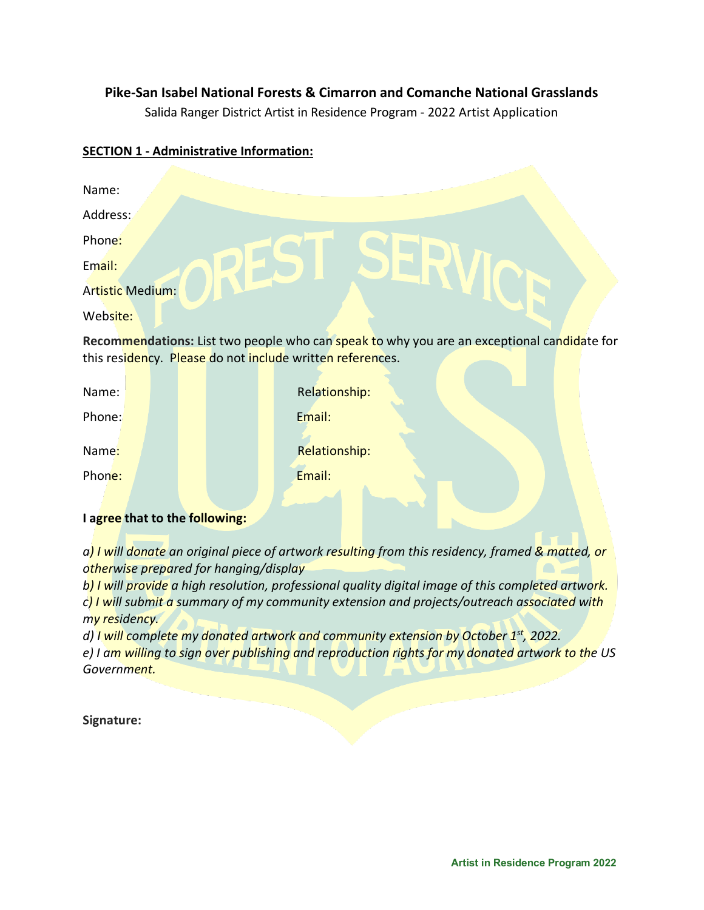## **Pike-San Isabel National Forests & Cimarron and Comanche National Grasslands**

Salida Ranger District Artist in Residence Program - 2022 Artist Application

## **SECTION 1 - Administrative Information:**

| Name:                                                                                      |               |
|--------------------------------------------------------------------------------------------|---------------|
| Address:                                                                                   |               |
| Phone:                                                                                     |               |
| Email:                                                                                     |               |
| Artistic Medium:                                                                           |               |
| Website:                                                                                   |               |
| Recommendations: List two people who can speak to why you are an exceptional candidate for |               |
| this residency. Please do not include written references.                                  |               |
| Name:                                                                                      | Relationship: |
| Phone:                                                                                     | Email:        |
| Name:                                                                                      |               |
|                                                                                            | Relationship: |
| Phone:                                                                                     | Email:        |

## **I agree that to the following:**

*a) I will donate an original piece of artwork resulting from this residency, framed & matted, or otherwise prepared for hanging/display*

*b) I will provide a high resolution, professional quality digital image of this completed artwork. c) I will submit a summary of my community extension and projects/outreach associated with my residency.*

*d) I will complete my donated artwork and community extension by October 1st, 2022. e) I am willing to sign over publishing and reproduction rights for my donated artwork to the US Government.*

**Signature:**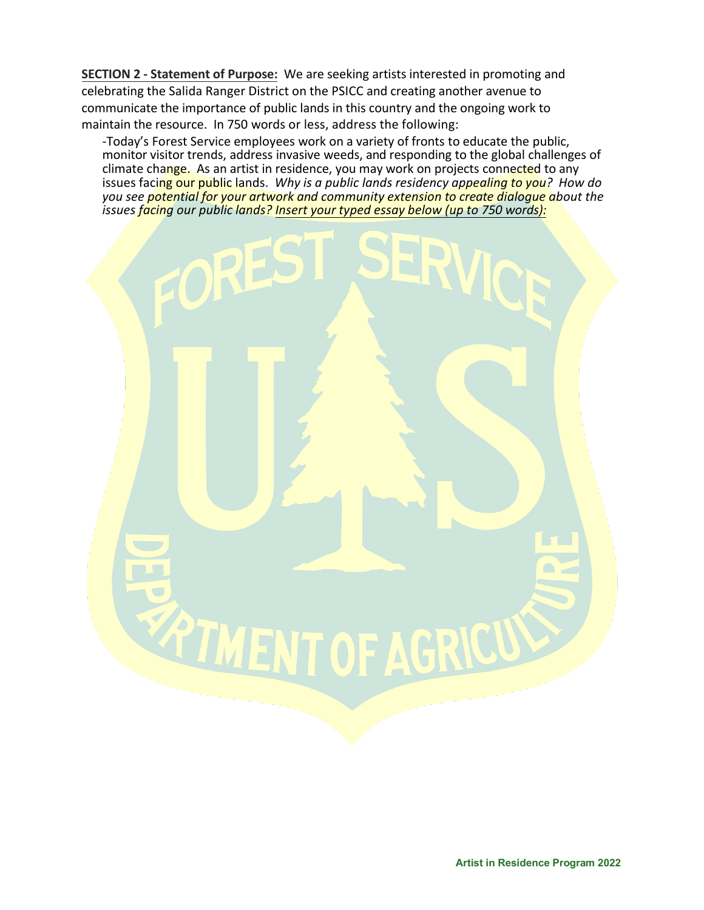**SECTION 2 - Statement of Purpose:** We are seeking artists interested in promoting and celebrating the Salida Ranger District on the PSICC and creating another avenue to communicate the importance of public lands in this country and the ongoing work to maintain the resource. In 750 words or less, address the following:

-Today's Forest Service employees work on a variety of fronts to educate the public, monitor visitor trends, address invasive weeds, and responding to the global challenges of climate change. As an artist in residence, you may work on projects connected to any issues facing our public lands. *Why is a public lands residency appealing to you? How do you see potential for your artwork and community extension to create dialogue about the issues facing our public lands? Insert your typed essay below (up to 750 words):*

**EXTIMENT OF AGRICUS** 

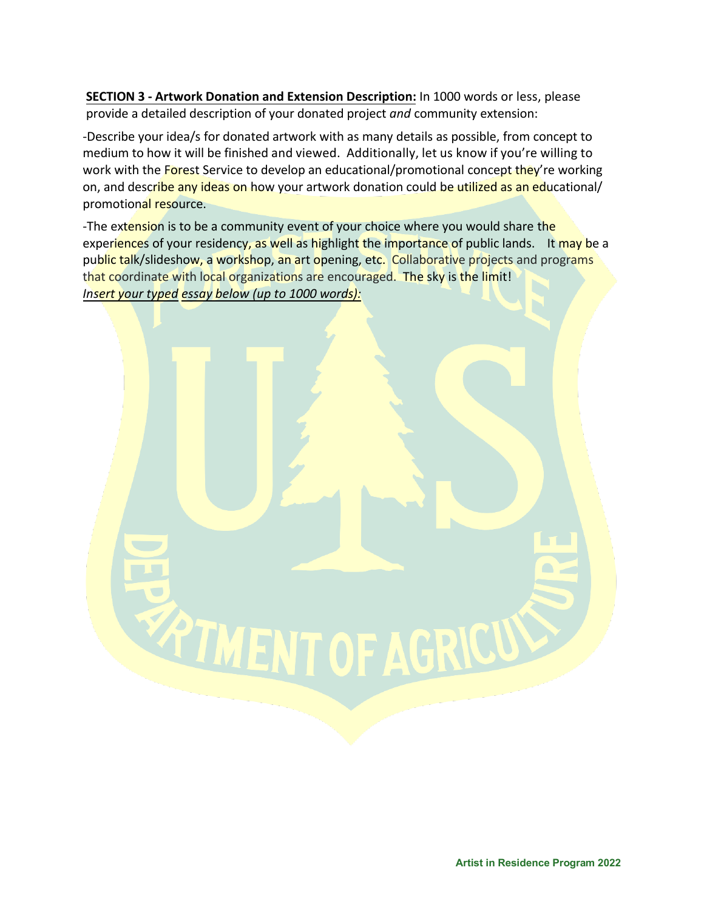**SECTION 3 - Artwork Donation and Extension Description:** In 1000 words or less, please provide a detailed description of your donated project *and* community extension:

-Describe your idea/s for donated artwork with as many details as possible, from concept to medium to how it will be finished and viewed. Additionally, let us know if you're willing to work with the Forest Service to develop an educational/promotional concept they're working on, and describe any ideas on how your artwork donation could be utilized as an educational/ promotional resource.

-The extension is to be a community event of your choice where you would share the experiences of your residency, as well as highlight the importance of public lands. It may be a public talk/slideshow, a workshop, an art opening, etc. Collaborative projects and programs that coordinate with local organizations are encouraged. The sky is the limit! *Insert your typed essay below (up to 1000 words):*